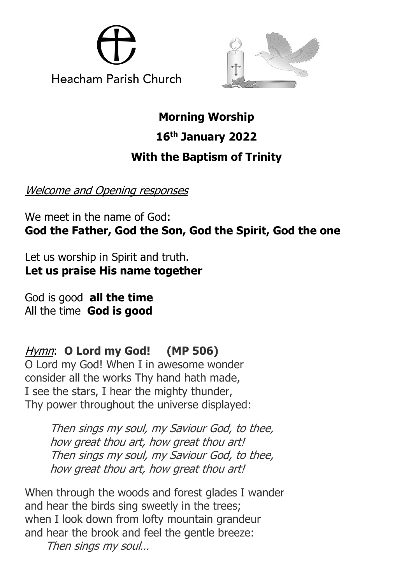



# **Morning Worship 16th January 2022 With the Baptism of Trinity**

Welcome and Opening responses

### We meet in the name of God: **God the Father, God the Son, God the Spirit, God the one**

Let us worship in Spirit and truth. **Let us praise His name together**

God is good **all the time** All the time **God is good** 

# Hymn: **O Lord my God! (MP 506)**

O Lord my God! When I in awesome wonder consider all the works Thy hand hath made, I see the stars, I hear the mighty thunder, Thy power throughout the universe displayed:

> Then sings my soul, my Saviour God, to thee, how great thou art, how great thou art! Then sings my soul, my Saviour God, to thee, how great thou art, how great thou art!

When through the woods and forest glades I wander and hear the birds sing sweetly in the trees; when I look down from lofty mountain grandeur and hear the brook and feel the gentle breeze: Then sings my soul…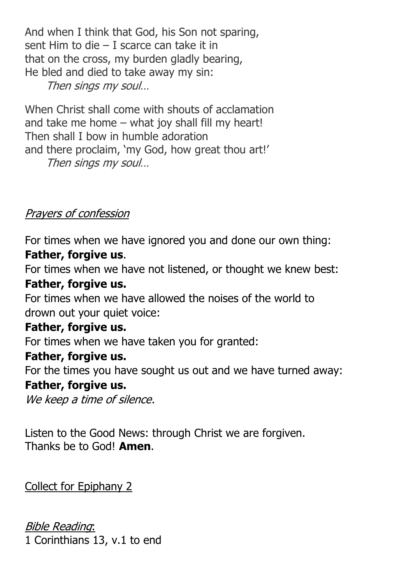And when I think that God, his Son not sparing, sent Him to die – I scarce can take it in that on the cross, my burden gladly bearing, He bled and died to take away my sin: Then sings my soul…

When Christ shall come with shouts of acclamation and take me home – what joy shall fill my heart! Then shall I bow in humble adoration and there proclaim, 'my God, how great thou art!' Then sings my soul…

### Prayers of confession

For times when we have ignored you and done our own thing:

### **Father, forgive us**.

For times when we have not listened, or thought we knew best: **Father, forgive us.**

For times when we have allowed the noises of the world to drown out your quiet voice:

### **Father, forgive us.**

For times when we have taken you for granted:

# **Father, forgive us.**

For the times you have sought us out and we have turned away:

# **Father, forgive us.**

We keep a time of silence.

Listen to the Good News: through Christ we are forgiven. Thanks be to God! **Amen**.

Collect for Epiphany 2

#### Bible Reading: 1 Corinthians 13, v.1 to end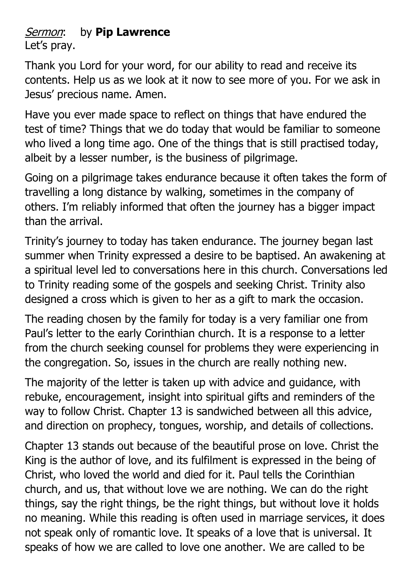#### Sermon: by **Pip Lawrence** Let's pray.

Thank you Lord for your word, for our ability to read and receive its contents. Help us as we look at it now to see more of you. For we ask in Jesus' precious name. Amen.

Have you ever made space to reflect on things that have endured the test of time? Things that we do today that would be familiar to someone who lived a long time ago. One of the things that is still practised today, albeit by a lesser number, is the business of pilgrimage.

Going on a pilgrimage takes endurance because it often takes the form of travelling a long distance by walking, sometimes in the company of others. I'm reliably informed that often the journey has a bigger impact than the arrival.

Trinity's journey to today has taken endurance. The journey began last summer when Trinity expressed a desire to be baptised. An awakening at a spiritual level led to conversations here in this church. Conversations led to Trinity reading some of the gospels and seeking Christ. Trinity also designed a cross which is given to her as a gift to mark the occasion.

The reading chosen by the family for today is a very familiar one from Paul's letter to the early Corinthian church. It is a response to a letter from the church seeking counsel for problems they were experiencing in the congregation. So, issues in the church are really nothing new.

The majority of the letter is taken up with advice and guidance, with rebuke, encouragement, insight into spiritual gifts and reminders of the way to follow Christ. Chapter 13 is sandwiched between all this advice, and direction on prophecy, tongues, worship, and details of collections.

Chapter 13 stands out because of the beautiful prose on love. Christ the King is the author of love, and its fulfilment is expressed in the being of Christ, who loved the world and died for it. Paul tells the Corinthian church, and us, that without love we are nothing. We can do the right things, say the right things, be the right things, but without love it holds no meaning. While this reading is often used in marriage services, it does not speak only of romantic love. It speaks of a love that is universal. It speaks of how we are called to love one another. We are called to be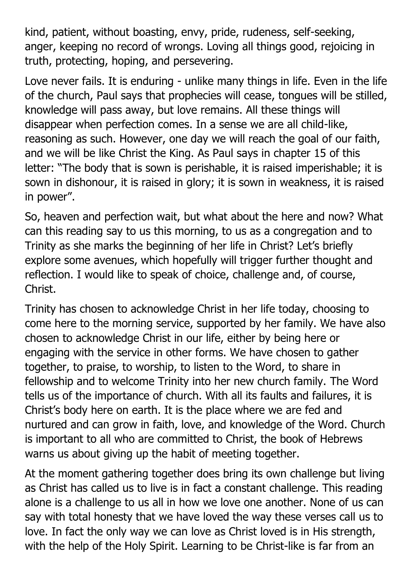kind, patient, without boasting, envy, pride, rudeness, self-seeking, anger, keeping no record of wrongs. Loving all things good, rejoicing in truth, protecting, hoping, and persevering.

Love never fails. It is enduring - unlike many things in life. Even in the life of the church, Paul says that prophecies will cease, tongues will be stilled, knowledge will pass away, but love remains. All these things will disappear when perfection comes. In a sense we are all child-like, reasoning as such. However, one day we will reach the goal of our faith, and we will be like Christ the King. As Paul says in chapter 15 of this letter: "The body that is sown is perishable, it is raised imperishable; it is sown in dishonour, it is raised in glory; it is sown in weakness, it is raised in power".

So, heaven and perfection wait, but what about the here and now? What can this reading say to us this morning, to us as a congregation and to Trinity as she marks the beginning of her life in Christ? Let's briefly explore some avenues, which hopefully will trigger further thought and reflection. I would like to speak of choice, challenge and, of course, Christ.

Trinity has chosen to acknowledge Christ in her life today, choosing to come here to the morning service, supported by her family. We have also chosen to acknowledge Christ in our life, either by being here or engaging with the service in other forms. We have chosen to gather together, to praise, to worship, to listen to the Word, to share in fellowship and to welcome Trinity into her new church family. The Word tells us of the importance of church. With all its faults and failures, it is Christ's body here on earth. It is the place where we are fed and nurtured and can grow in faith, love, and knowledge of the Word. Church is important to all who are committed to Christ, the book of Hebrews warns us about giving up the habit of meeting together.

At the moment gathering together does bring its own challenge but living as Christ has called us to live is in fact a constant challenge. This reading alone is a challenge to us all in how we love one another. None of us can say with total honesty that we have loved the way these verses call us to love. In fact the only way we can love as Christ loved is in His strength, with the help of the Holy Spirit. Learning to be Christ-like is far from an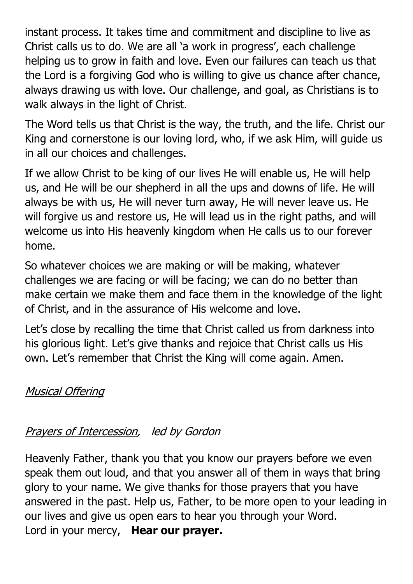instant process. It takes time and commitment and discipline to live as Christ calls us to do. We are all 'a work in progress', each challenge helping us to grow in faith and love. Even our failures can teach us that the Lord is a forgiving God who is willing to give us chance after chance, always drawing us with love. Our challenge, and goal, as Christians is to walk always in the light of Christ.

The Word tells us that Christ is the way, the truth, and the life. Christ our King and cornerstone is our loving lord, who, if we ask Him, will guide us in all our choices and challenges.

If we allow Christ to be king of our lives He will enable us, He will help us, and He will be our shepherd in all the ups and downs of life. He will always be with us, He will never turn away, He will never leave us. He will forgive us and restore us, He will lead us in the right paths, and will welcome us into His heavenly kingdom when He calls us to our forever home.

So whatever choices we are making or will be making, whatever challenges we are facing or will be facing; we can do no better than make certain we make them and face them in the knowledge of the light of Christ, and in the assurance of His welcome and love.

Let's close by recalling the time that Christ called us from darkness into his glorious light. Let's give thanks and rejoice that Christ calls us His own. Let's remember that Christ the King will come again. Amen.

# Musical Offering

# Prayers of Intercession, led by Gordon

Heavenly Father, thank you that you know our prayers before we even speak them out loud, and that you answer all of them in ways that bring glory to your name. We give thanks for those prayers that you have answered in the past. Help us, Father, to be more open to your leading in our lives and give us open ears to hear you through your Word. Lord in your mercy, **Hear our prayer.**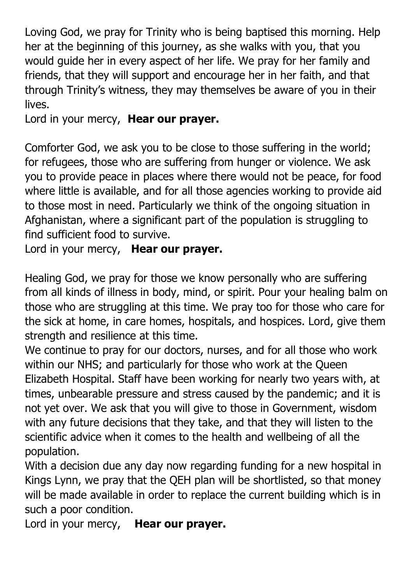Loving God, we pray for Trinity who is being baptised this morning. Help her at the beginning of this journey, as she walks with you, that you would guide her in every aspect of her life. We pray for her family and friends, that they will support and encourage her in her faith, and that through Trinity's witness, they may themselves be aware of you in their lives.

Lord in your mercy, **Hear our prayer.**

Comforter God, we ask you to be close to those suffering in the world; for refugees, those who are suffering from hunger or violence. We ask you to provide peace in places where there would not be peace, for food where little is available, and for all those agencies working to provide aid to those most in need. Particularly we think of the ongoing situation in Afghanistan, where a significant part of the population is struggling to find sufficient food to survive.

Lord in your mercy, **Hear our prayer.**

Healing God, we pray for those we know personally who are suffering from all kinds of illness in body, mind, or spirit. Pour your healing balm on those who are struggling at this time. We pray too for those who care for the sick at home, in care homes, hospitals, and hospices. Lord, give them strength and resilience at this time.

We continue to pray for our doctors, nurses, and for all those who work within our NHS; and particularly for those who work at the Queen Elizabeth Hospital. Staff have been working for nearly two years with, at times, unbearable pressure and stress caused by the pandemic; and it is not yet over. We ask that you will give to those in Government, wisdom with any future decisions that they take, and that they will listen to the scientific advice when it comes to the health and wellbeing of all the population.

With a decision due any day now regarding funding for a new hospital in Kings Lynn, we pray that the QEH plan will be shortlisted, so that money will be made available in order to replace the current building which is in such a poor condition.

Lord in your mercy, **Hear our prayer.**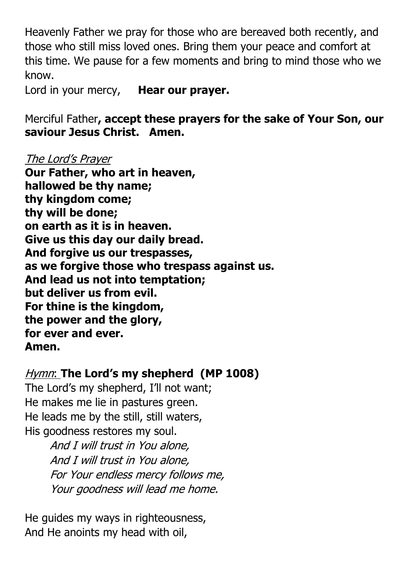Heavenly Father we pray for those who are bereaved both recently, and those who still miss loved ones. Bring them your peace and comfort at this time. We pause for a few moments and bring to mind those who we know.

Lord in your mercy, **Hear our prayer.**

Merciful Father**, accept these prayers for the sake of Your Son, our saviour Jesus Christ. Amen.**

#### The Lord's Prayer

**Our Father, who art in heaven, hallowed be thy name; thy kingdom come; thy will be done; on earth as it is in heaven. Give us this day our daily bread. And forgive us our trespasses, as we forgive those who trespass against us. And lead us not into temptation; but deliver us from evil. For thine is the kingdom, the power and the glory, for ever and ever. Amen.**

### Hymn: **The Lord's my shepherd (MP 1008)**

The Lord's my shepherd, I'll not want; He makes me lie in pastures green. He leads me by the still, still waters, His goodness restores my soul.

And I will trust in You alone, And I will trust in You alone, For Your endless mercy follows me, Your goodness will lead me home.

He guides my ways in righteousness, And He anoints my head with oil,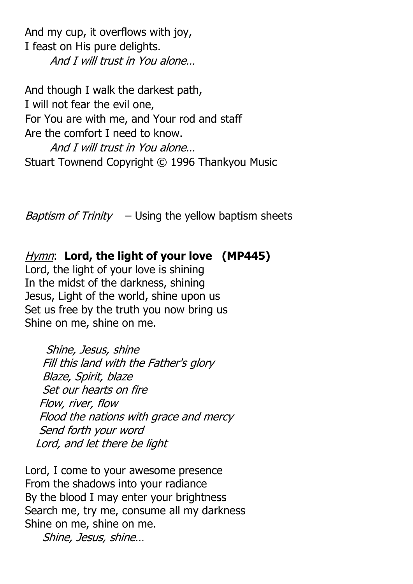And my cup, it overflows with joy, I feast on His pure delights. And I will trust in You alone…

And though I walk the darkest path, I will not fear the evil one, For You are with me, and Your rod and staff Are the comfort I need to know.

And I will trust in You alone… Stuart Townend Copyright © 1996 Thankyou Music

*Baptism of Trinity*  $-$  Using the yellow baptism sheets

Hymn: **Lord, the light of your love (MP445)**

Lord, the light of your love is shining In the midst of the darkness, shining Jesus, Light of the world, shine upon us Set us free by the truth you now bring us Shine on me, shine on me.

 Shine, Jesus, shine Fill this land with the Father's glory Blaze, Spirit, blaze Set our hearts on fire Flow, river, flow Flood the nations with grace and mercy Send forth your word Lord, and let there be light

Lord, I come to your awesome presence From the shadows into your radiance By the blood I may enter your brightness Search me, try me, consume all my darkness Shine on me, shine on me.

Shine, Jesus, shine…